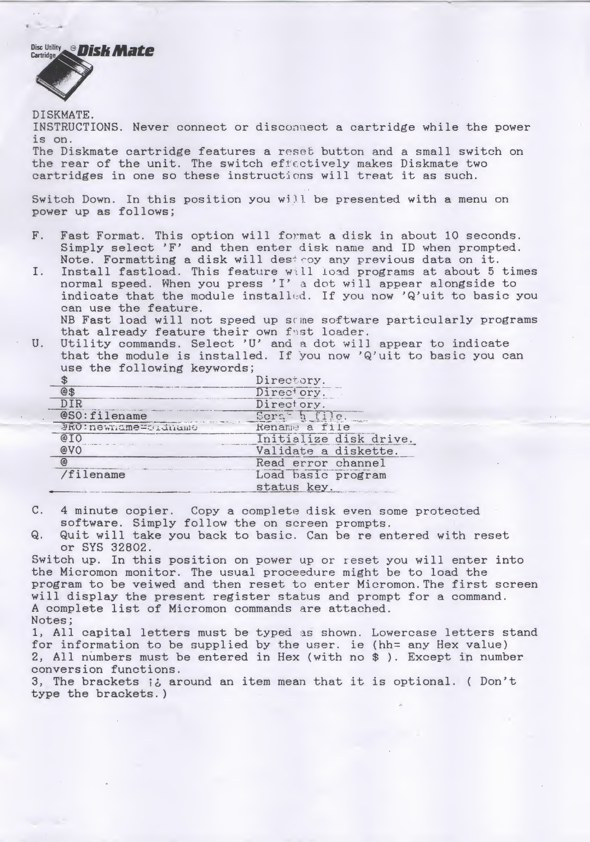Disc Utility **Disk Mate** 



DISKMATE.

INSTRUCTIONS. Never connect or disconnect a cartridge while the power is on.

The Diskmate cartridge features a reset button and a small switch on the rear of the unit. The switch effectively makes Diskmate two cartridges in one so these instructions will treat it as such.

Switch Down. In this position you will be presented with a menu on power up as follows;

- F. Fast Format. This option will format a disk in about 10 seconds. Simply select 'F' and then enter disk name and ID when prompted. Note. Formatting a disk will destroy any previous data on it.<br>Install fastload. This feature will load programs at about 5 times I. Fast Format. This option will format a disk in about 10 seconds.<br>Simply select 'F' and then enter disk name and ID when prompted.<br>Note. Formatting a disk will dest coy any previous data on it.<br>I. Install fastload. This
- normal speed. When you press 'I' a dot will appear alongside to indicate that the module installed. If you now 'Q'uit to basic you can use the feature. NB Fast load will not speed up some software particularly programs

that already feature their own fast loader. U. Utility commands. Select 'U' and a dot will appear to indicate that the module is installed. If you now 'Q'uit to basic you can

| witch Down. In this position you will be presented wit<br>ower up as follows;                      |                                                                                                                                                                                                                                                                                                                                        |
|----------------------------------------------------------------------------------------------------|----------------------------------------------------------------------------------------------------------------------------------------------------------------------------------------------------------------------------------------------------------------------------------------------------------------------------------------|
|                                                                                                    | Fast Format. This option will format a disk in abou<br>Simply select 'F' and then enter disk name and ID \<br>Note. Formatting a disk will dest coy any previous o<br>Install fastload. This feature will load programs a<br>normal speed. When you press 'I' a dot will appear<br>indicate that the module installed. If you now 'Q'u |
| can use the feature.<br>that already feature their own fast loader.<br>use the following keywords; | NB Fast load will not speed up some software partio<br>Utility commands. Select 'U' and a dot will appear<br>that the module is installed. If you now 'Q'uit to                                                                                                                                                                        |
| $\frac{1}{2}$                                                                                      | Directory.                                                                                                                                                                                                                                                                                                                             |
| @\$                                                                                                | Directory.                                                                                                                                                                                                                                                                                                                             |
| DIR                                                                                                | Directory.                                                                                                                                                                                                                                                                                                                             |
| @SO:filename                                                                                       | Sorah file.                                                                                                                                                                                                                                                                                                                            |
| JRO: newmame=criditame                                                                             | Rename a file                                                                                                                                                                                                                                                                                                                          |
| @IO                                                                                                | Initialize disk drive.                                                                                                                                                                                                                                                                                                                 |
| @VO                                                                                                | Validate a diskette.                                                                                                                                                                                                                                                                                                                   |
| $^{\circ}$                                                                                         | Read error channel                                                                                                                                                                                                                                                                                                                     |
| /filename                                                                                          | Load basic program                                                                                                                                                                                                                                                                                                                     |
|                                                                                                    | status key.                                                                                                                                                                                                                                                                                                                            |
| software. Simply follow the on screen prompts.                                                     | 4 minute copier. Copy a complete disk even some pi                                                                                                                                                                                                                                                                                     |
|                                                                                                    | Quit will take you back to basic. Can be re entered                                                                                                                                                                                                                                                                                    |

C. 4 minute copier. Copy a complete disk even some protected software. Simply follow the on screen prompts.

Q. Quit will take you back to basic. Can be re entered with reset or SYS 32802.

Switch up. In this position on power up or reset you will enter into the Micromon monitor. The usual proceedure might be to load the program to be veiwed and then reset to enter Micromon.The first screen will display the present register status and prompt for a command. <sup>A</sup> complete list of Micromon commands are attached. Notes;

1, All capital letters must be typed as shown. Lowercase letters stand for information to be supplied by the user, ie (hh= any Hex value) 2, All numbers must be entered in Hex (with no \$ ). Except in number conversion functions.

3, The brackets  $\frac{1}{6}$  around an item mean that it is optional. ( Don't type the brackets.)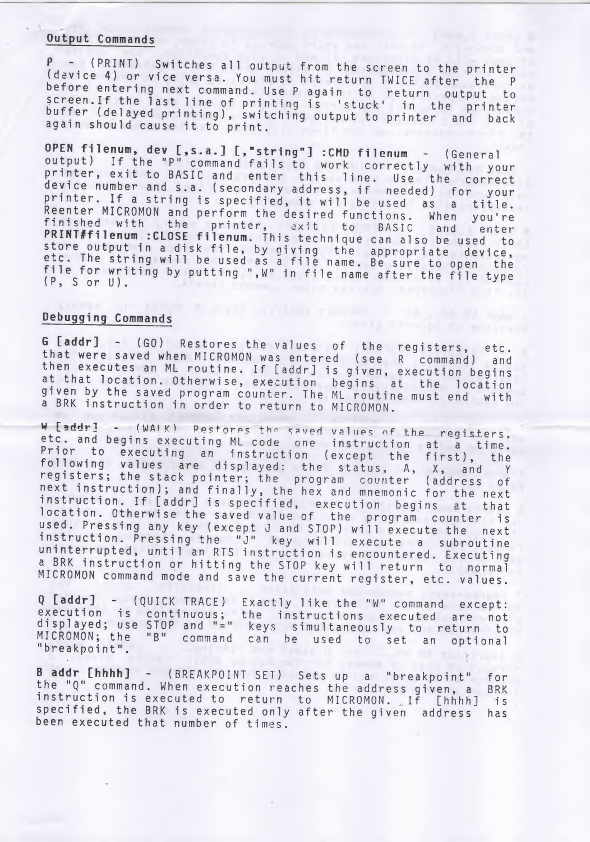### Output Commands

P - (PRINT) Switches all output from the screen to the printer (device 4) or vice versa. You must hit return TWICE after the <sup>P</sup> before entering next command. Use <sup>P</sup> again to return output to screen. If the last line of printing is 'stuck' in the printer<br>buffer (delayed printing), switching output to printer and back again should cause it to print.

OPEN filenum, dev [,s.a.] [."string"] :CMD filenum - (General output) If the "P" command fails to work correctly with your printer, exit to BASIC and enter this line. Use the correct device number and s.a. (secondary address, if needed) for your printer. If a string is specified, it will be used as a title. Reenter MICROMON and perform the desired functions. When you're finished with the printer, exit to BASIC and enter PRINT#filenum : CLOSE filenum. This technique can also be used to FREM THE THE SECT FLIEBUM. This technique can also be used to<br>store output in a disk file, by giving the appropriate device,<br>etc. The string will be used as a file name. Be sure to open the file for writing by putting ",W" in file name after the file type  $(P, S \text{ or } U)$  . Futuring  $\mathcal{F}_n$  in the name after the file type

## Debugging Commands

<sup>G</sup> [addr] - (GO) Restores the values of the registers, etc. that were saved when MICROMON was entered (see <sup>R</sup> command) and then executes an ML routine. If [addr] is given, execution begins at that location. Otherwise, execution begins at the location given by the saved program counter. The ML routine must end with <sup>a</sup> BRK instruction in order to return to MICROMON.

W [addr] - (WAIK) Restores the saved values of the registers, etc. and begins executing ML code one instruction at a time. Four and begins executing me code one instruction at a time.<br>Prior to executing an instruction (except the first), the following values are displayed: the status. A, X, and <sup>Y</sup> registers; the stack pointer; the program counter (address of next instruction); and finally, the hex and mnemonic for the next instruction. If [addr] is specified, execution begins at that location. Otherwise the saved value of the program counter is used. Pressing anykey (except J and STOP) will execute the next instruction. Pressing the "J" key will execute <sup>a</sup> subroutine uninterrupted, until an RTS instruction is encountered. Executing a BRK instruction or hitting the STOP key will return to normal MICROMON command mode and save the current register, etc. values.

<sup>Q</sup> [addr] - (QUICK TRACE) Exactly like the "W" command except: execution is continuous; the instructions executed are not displayed; use STOP and "=" keys simultaneously to return to MICROMON; the "B" command can be used to set an optional "breakpoint".

B addr [hhhh] - (BREAKPOINT SET) Sets up a "breakpoint" for<br>the "Q" command. When execution reaches the address given, a BRK the "Q" command. When execution reaches the address given, a instruction is executed to return to MICROMON. If [hhhh] is specified, the BRK is executed only after the given address has been executed that number of times.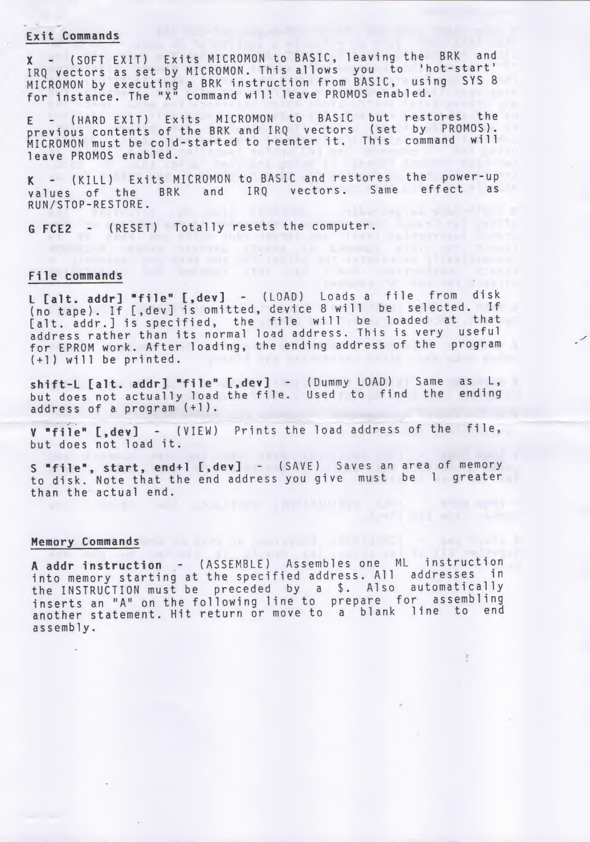### Exit Commands

<sup>X</sup> - (SOFT EXIT) Exits MICROMON to BASIC, leaving the BRK and IRQ vectors as set by MICROMON. This allows you to 'hot-start' MICROMON by executing <sup>a</sup> BRK instruction from BASIC, using SYS <sup>8</sup> for instance. The "X" command will leave PROMOS enabled.

<sup>E</sup> - (HARD EXIT) Exits MICROMON to BASIC but restores the previous contents of the BRK and IRQ vectors (set by PROMOS). MICROMON must be cold-started to reenter it. This command will leave PROMOS enabled.

<sup>K</sup> - (KILL) Exits MICROMON to BASIC and restores the power-up values of the BRK and IRQ vectors. Same effect as RUN/STOP-RESTORE.

G FCE2 - (RESET) Totally resets the computer.<br>File commands

### File commands

L [alt. addr] "file" [,dev] - (LOAD) Loads a file from disk (no tape). If [, dev] is omitted, device 8 will be selected. If (no tape). It L, devi is Unitted, device of the loaded at that Lait. addr. I is specified, the file will be loaded at the shall for EPROM work. After loading, the ending address of the program  $(+1)$  will be printed.

shift-L [alt. addr] "file" [,dev] - (Dummy LOAD) Same as L, but does not actually load the file. Used to find the ending address of <sup>a</sup> program (+1).

<sup>V</sup> "file" [,dev] - (VIEW) Prints the load address of the file, but does not load it.

<sup>S</sup> "file", start, end+1 [,dev] - (SAVE) Saves an area of memory to disk. Note that the end address you give must be <sup>1</sup> greater than the actual end.

# Memory Commands and the community of the contract of the contract of the contract of the contract of the contract of the contract of the contract of the contract of the contract of the contract of the contract of the contr

<sup>A</sup> addr instruction - (ASSEMBLE) Assembles one ML instruction into memory starting at the specified address. All addresses in the INSTRUCTION must be preceded by <sup>a</sup> \$. Also automatically inserts an "A" on the following line to prepare for assembling another statement. Hit return or move to <sup>a</sup> blank line to end assembly.